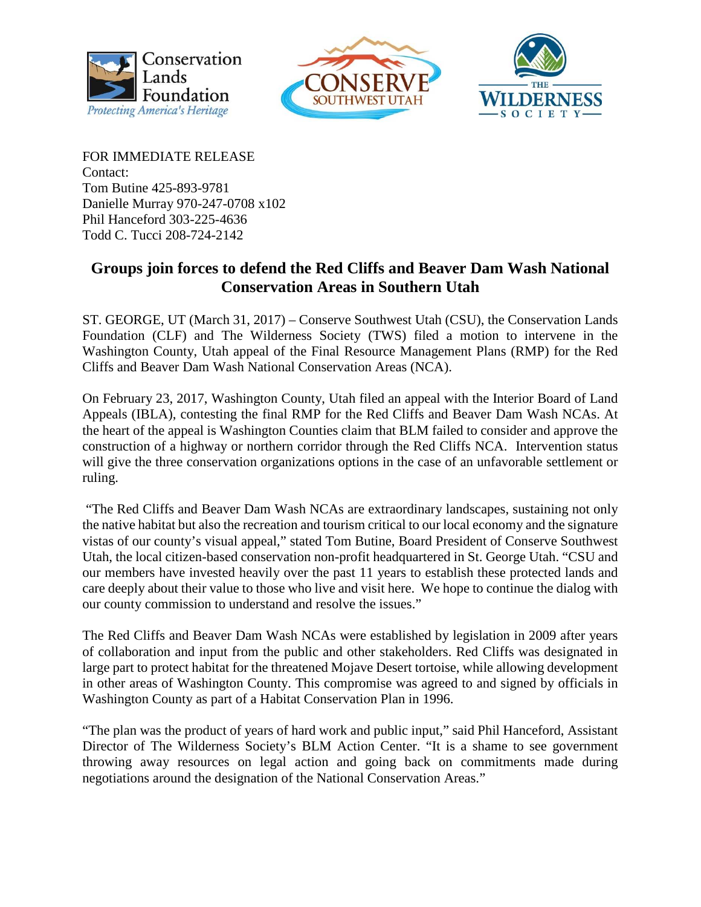





FOR IMMEDIATE RELEASE Contact: Tom Butine 425-893-9781 Danielle Murray 970-247-0708 x102 Phil Hanceford 303-225-4636 Todd C. Tucci 208-724-2142

## **Groups join forces to defend the Red Cliffs and Beaver Dam Wash National Conservation Areas in Southern Utah**

ST. GEORGE, UT (March 31, 2017) – Conserve Southwest Utah (CSU), the Conservation Lands Foundation (CLF) and The Wilderness Society (TWS) filed a motion to intervene in the Washington County, Utah appeal of the Final Resource Management Plans (RMP) for the Red Cliffs and Beaver Dam Wash National Conservation Areas (NCA).

On February 23, 2017, Washington County, Utah filed an appeal with the Interior Board of Land Appeals (IBLA), contesting the final RMP for the Red Cliffs and Beaver Dam Wash NCAs. At the heart of the appeal is Washington Counties claim that BLM failed to consider and approve the construction of a highway or northern corridor through the Red Cliffs NCA. Intervention status will give the three conservation organizations options in the case of an unfavorable settlement or ruling.

 "The Red Cliffs and Beaver Dam Wash NCAs are extraordinary landscapes, sustaining not only the native habitat but also the recreation and tourism critical to our local economy and the signature vistas of our county's visual appeal," stated Tom Butine, Board President of Conserve Southwest Utah, the local citizen-based conservation non-profit headquartered in St. George Utah. "CSU and our members have invested heavily over the past 11 years to establish these protected lands and care deeply about their value to those who live and visit here. We hope to continue the dialog with our county commission to understand and resolve the issues."

The Red Cliffs and Beaver Dam Wash NCAs were established by legislation in 2009 after years of collaboration and input from the public and other stakeholders. Red Cliffs was designated in large part to protect habitat for the threatened Mojave Desert tortoise, while allowing development in other areas of Washington County. This compromise was agreed to and signed by officials in Washington County as part of a Habitat Conservation Plan in 1996.

"The plan was the product of years of hard work and public input," said Phil Hanceford, Assistant Director of The Wilderness Society's BLM Action Center. "It is a shame to see government throwing away resources on legal action and going back on commitments made during negotiations around the designation of the National Conservation Areas."